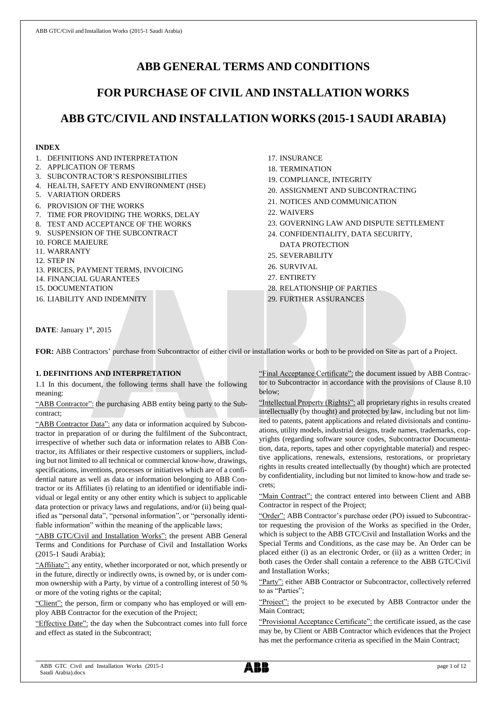# **ABB GENERAL TERMS AND CONDITIONS**

# **FOR PURCHASE OF CIVIL AND INSTALLATION WORKS**

# **ABB GTC/CIVIL AND INSTALLATION WORKS (2015-1 SAUDI ARABIA)**

# **INDEX**

- 1. DEFINITIONS AND INTERPRETATION
- 2. APPLICATION OF TERMS
- 3. SUBCONTRACTOR'S RESPONSIBILITIES
- 4. HEALTH, SAFETY AND ENVIRONMENT (HSE)
- 5. VARIATION ORDERS
- 6. PROVISION OF THE WORKS
- 7. TIME FOR PROVIDING THE WORKS, DELAY
- 8. TEST AND ACCEPTANCE OF THE WORKS
- 9. SUSPENSION OF THE SUBCONTRACT
- 10. FORCE MAJEURE
- 11. WARRANTY
- 12. STEP IN
- 13. PRICES, PAYMENT TERMS, INVOICING
- 14. FINANCIAL GUARANTEES
- 15. DOCUMENTATION

16. LIABILITY AND INDEMNITY

- 17. INSURANCE
- 18. TERMINATION
- 19. COMPLIANCE, INTEGRITY
- 20. ASSIGNMENT AND SUBCONTRACTING
- 21. NOTICES AND COMMUNICATION
- 22. WAIVERS
- 23. GOVERNING LAW AND DISPUTE SETTLEMENT
- 24. CONFIDENTIALITY, DATA SECURITY, DATA PROTECTION
- 25. SEVERABILITY
- 26. SURVIVAL
- 27. ENTIRETY
- 28. RELATIONSHIP OF PARTIES
- 29. FURTHER ASSURANCES

DATE: January 1st, 2015

FOR: ABB Contractors' purchase from Subcontractor of either civil or installation works or both to be provided on Site as part of a Project.

# **1. DEFINITIONS AND INTERPRETATION**

1.1 In this document, the following terms shall have the following meaning:

"ABB Contractor": the purchasing ABB entity being party to the Subcontract;

"ABB Contractor Data": any data or information acquired by Subcontractor in preparation of or during the fulfilment of the Subcontract, irrespective of whether such data or information relates to ABB Contractor, its Affiliates or their respective customers or suppliers, including but not limited to all technical or commercial know-how, drawings, specifications, inventions, processes or initiatives which are of a confidential nature as well as data or information belonging to ABB Contractor or its Affiliates (i) relating to an identified or identifiable individual or legal entity or any other entity which is subject to applicable data protection or privacy laws and regulations, and/or (ii) being qualified as "personal data", "personal information", or "personally identifiable information" within the meaning of the applicable laws;

"ABB GTC/Civil and Installation Works": the present ABB General Terms and Conditions for Purchase of Civil and Installation Works (2015-1 Saudi Arabia);

"Affiliate": any entity, whether incorporated or not, which presently or in the future, directly or indirectly owns, is owned by, or is under common ownership with a Party, by virtue of a controlling interest of 50 % or more of the voting rights or the capital;

"Client": the person, firm or company who has employed or will employ ABB Contractor for the execution of the Project;

"Effective Date": the day when the Subcontract comes into full force and effect as stated in the Subcontract;

"Final Acceptance Certificate": the document issued by ABB Contractor to Subcontractor in accordance with the provisions of Clause 8.10 below;

"Intellectual Property (Rights)": all proprietary rights in results created intellectually (by thought) and protected by law, including but not limited to patents, patent applications and related divisionals and continuations, utility models, industrial designs, trade names, trademarks, copyrights (regarding software source codes, Subcontractor Documentation, data, reports, tapes and other copyrightable material) and respective applications, renewals, extensions, restorations, or proprietary rights in results created intellectually (by thought) which are protected by confidentiality, including but not limited to know-how and trade secrets;

"Main Contract": the contract entered into between Client and ABB Contractor in respect of the Project;

"Order": ABB Contractor's purchase order (PO) issued to Subcontractor requesting the provision of the Works as specified in the Order, which is subject to the ABB GTC/Civil and Installation Works and the Special Terms and Conditions, as the case may be. An Order can be placed either (i) as an electronic Order, or (ii) as a written Order; in both cases the Order shall contain a reference to the ABB GTC/Civil and Installation Works;

"Party": either ABB Contractor or Subcontractor, collectively referred to as "Parties";

"Project": the project to be executed by ABB Contractor under the Main Contract;

"Provisional Acceptance Certificate": the certificate issued, as the case may be, by Client or ABB Contractor which evidences that the Project has met the performance criteria as specified in the Main Contract;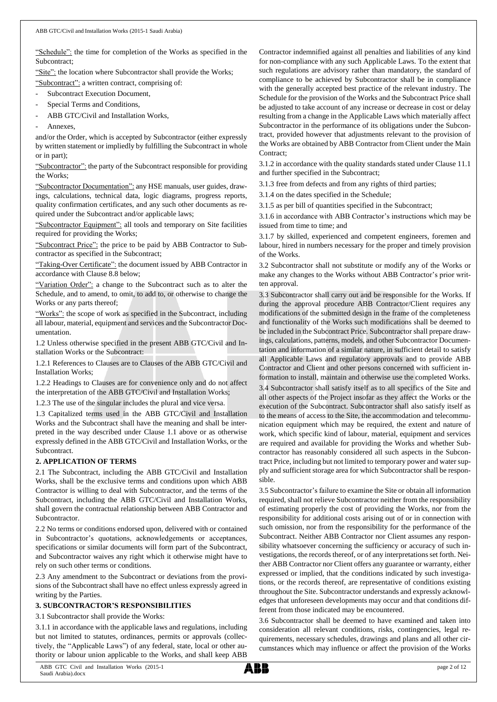"Schedule": the time for completion of the Works as specified in the Subcontract;

"Site": the location where Subcontractor shall provide the Works;

"Subcontract": a written contract, comprising of:

- Subcontract Execution Document,
- Special Terms and Conditions,
- ABB GTC/Civil and Installation Works,
- Annexes.

and/or the Order, which is accepted by Subcontractor (either expressly by written statement or impliedly by fulfilling the Subcontract in whole or in part);

"Subcontractor": the party of the Subcontract responsible for providing the Works;

"Subcontractor Documentation": any HSE manuals, user guides, drawings, calculations, technical data, logic diagrams, progress reports, quality confirmation certificates, and any such other documents as required under the Subcontract and/or applicable laws;

"Subcontractor Equipment": all tools and temporary on Site facilities required for providing the Works;

"Subcontract Price": the price to be paid by ABB Contractor to Subcontractor as specified in the Subcontract;

"Taking-Over Certificate": the document issued by ABB Contractor in accordance with Clause 8.8 below;

"Variation Order": a change to the Subcontract such as to alter the Schedule, and to amend, to omit, to add to, or otherwise to change the Works or any parts thereof;

"Works": the scope of work as specified in the Subcontract, including all labour, material, equipment and services and the Subcontractor Documentation.

1.2 Unless otherwise specified in the present ABB GTC/Civil and Installation Works or the Subcontract:

1.2.1 References to Clauses are to Clauses of the ABB GTC/Civil and Installation Works;

1.2.2 Headings to Clauses are for convenience only and do not affect the interpretation of the ABB GTC/Civil and Installation Works;

1.2.3 The use of the singular includes the plural and vice versa.

1.3 Capitalized terms used in the ABB GTC/Civil and Installation Works and the Subcontract shall have the meaning and shall be interpreted in the way described under Clause 1.1 above or as otherwise expressly defined in the ABB GTC/Civil and Installation Works, or the Subcontract.

# **2. APPLICATION OF TERMS**

2.1 The Subcontract, including the ABB GTC/Civil and Installation Works, shall be the exclusive terms and conditions upon which ABB Contractor is willing to deal with Subcontractor, and the terms of the Subcontract, including the ABB GTC/Civil and Installation Works, shall govern the contractual relationship between ABB Contractor and Subcontractor.

2.2 No terms or conditions endorsed upon, delivered with or contained in Subcontractor's quotations, acknowledgements or acceptances, specifications or similar documents will form part of the Subcontract, and Subcontractor waives any right which it otherwise might have to rely on such other terms or conditions.

2.3 Any amendment to the Subcontract or deviations from the provisions of the Subcontract shall have no effect unless expressly agreed in writing by the Parties.

#### **3. SUBCONTRACTOR'S RESPONSIBILITIES**

3.1 Subcontractor shall provide the Works:

3.1.1 in accordance with the applicable laws and regulations, including but not limited to statutes, ordinances, permits or approvals (collectively, the "Applicable Laws") of any federal, state, local or other authority or labour union applicable to the Works, and shall keep ABB

Contractor indemnified against all penalties and liabilities of any kind for non-compliance with any such Applicable Laws. To the extent that such regulations are advisory rather than mandatory, the standard of compliance to be achieved by Subcontractor shall be in compliance with the generally accepted best practice of the relevant industry. The Schedule for the provision of the Works and the Subcontract Price shall be adjusted to take account of any increase or decrease in cost or delay resulting from a change in the Applicable Laws which materially affect Subcontractor in the performance of its obligations under the Subcontract, provided however that adjustments relevant to the provision of the Works are obtained by ABB Contractor from Client under the Main Contract:

3.1.2 in accordance with the quality standards stated under Clause 11.1 and further specified in the Subcontract;

3.1.3 free from defects and from any rights of third parties;

3.1.4 on the dates specified in the Schedule;

3.1.5 as per bill of quantities specified in the Subcontract;

3.1.6 in accordance with ABB Contractor's instructions which may be issued from time to time; and

3.1.7 by skilled, experienced and competent engineers, foremen and labour, hired in numbers necessary for the proper and timely provision of the Works.

3.2 Subcontractor shall not substitute or modify any of the Works or make any changes to the Works without ABB Contractor's prior written approval.

3.3 Subcontractor shall carry out and be responsible for the Works. If during the approval procedure ABB Contractor/Client requires any modifications of the submitted design in the frame of the completeness and functionality of the Works such modifications shall be deemed to be included in the Subcontract Price. Subcontractor shall prepare drawings, calculations, patterns, models, and other Subcontractor Documentation and information of a similar nature, in sufficient detail to satisfy all Applicable Laws and regulatory approvals and to provide ABB Contractor and Client and other persons concerned with sufficient information to install, maintain and otherwise use the completed Works.

3.4 Subcontractor shall satisfy itself as to all specifics of the Site and all other aspects of the Project insofar as they affect the Works or the execution of the Subcontract. Subcontractor shall also satisfy itself as to the means of access to the Site, the accommodation and telecommunication equipment which may be required, the extent and nature of work, which specific kind of labour, material, equipment and services are required and available for providing the Works and whether Subcontractor has reasonably considered all such aspects in the Subcontract Price, including but not limited to temporary power and water supply and sufficient storage area for which Subcontractor shall be responsible.

3.5 Subcontractor's failure to examine the Site or obtain all information required, shall not relieve Subcontractor neither from the responsibility of estimating properly the cost of providing the Works, nor from the responsibility for additional costs arising out of or in connection with such omission, nor from the responsibility for the performance of the Subcontract. Neither ABB Contractor nor Client assumes any responsibility whatsoever concerning the sufficiency or accuracy of such investigations, the records thereof, or of any interpretations set forth. Neither ABB Contractor nor Client offers any guarantee or warranty, either expressed or implied, that the conditions indicated by such investigations, or the records thereof, are representative of conditions existing throughout the Site. Subcontractor understands and expressly acknowledges that unforeseen developments may occur and that conditions different from those indicated may be encountered.

3.6 Subcontractor shall be deemed to have examined and taken into consideration all relevant conditions, risks, contingencies, legal requirements, necessary schedules, drawings and plans and all other circumstances which may influence or affect the provision of the Works

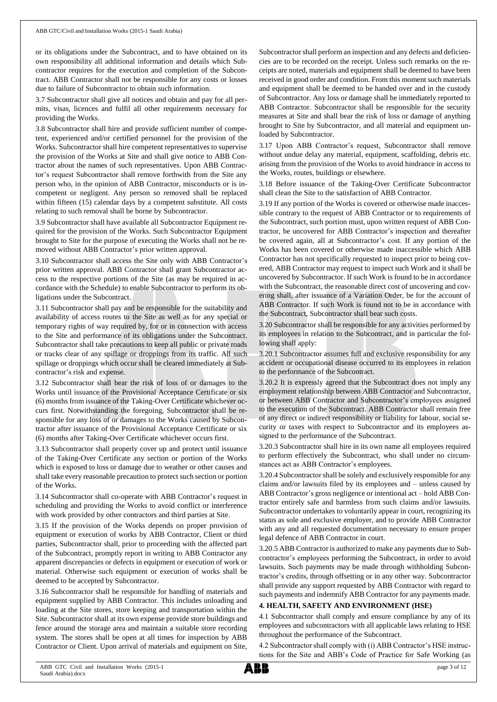or its obligations under the Subcontract, and to have obtained on its own responsibility all additional information and details which Subcontractor requires for the execution and completion of the Subcontract. ABB Contractor shall not be responsible for any costs or losses due to failure of Subcontractor to obtain such information.

3.7 Subcontractor shall give all notices and obtain and pay for all permits, visas, licences and fulfil all other requirements necessary for providing the Works.

3.8 Subcontractor shall hire and provide sufficient number of competent, experienced and/or certified personnel for the provision of the Works. Subcontractor shall hire competent representatives to supervise the provision of the Works at Site and shall give notice to ABB Contractor about the names of such representatives. Upon ABB Contractor's request Subcontractor shall remove forthwith from the Site any person who, in the opinion of ABB Contractor, misconducts or is incompetent or negligent. Any person so removed shall be replaced within fifteen (15) calendar days by a competent substitute. All costs relating to such removal shall be borne by Subcontractor.

3.9 Subcontractor shall have available all Subcontractor Equipment required for the provision of the Works. Such Subcontractor Equipment brought to Site for the purpose of executing the Works shall not be removed without ABB Contractor's prior written approval.

3.10 Subcontractor shall access the Site only with ABB Contractor's prior written approval. ABB Contractor shall grant Subcontractor access to the respective portions of the Site (as may be required in accordance with the Schedule) to enable Subcontractor to perform its obligations under the Subcontract.

3.11 Subcontractor shall pay and be responsible for the suitability and availability of access routes to the Site as well as for any special or temporary rights of way required by, for or in connection with access to the Site and performance of its obligations under the Subcontract. Subcontractor shall take precautions to keep all public or private roads or tracks clear of any spillage or droppings from its traffic. All such spillage or droppings which occur shall be cleared immediately at Subcontractor's risk and expense.

3.12 Subcontractor shall bear the risk of loss of or damages to the Works until issuance of the Provisional Acceptance Certificate or six (6) months from issuance of the Taking-Over Certificate whichever occurs first. Notwithstanding the foregoing, Subcontractor shall be responsible for any loss of or damages to the Works caused by Subcontractor after issuance of the Provisional Acceptance Certificate or six (6) months after Taking-Over Certificate whichever occurs first.

3.13 Subcontractor shall properly cover up and protect until issuance of the Taking-Over Certificate any section or portion of the Works which is exposed to loss or damage due to weather or other causes and shall take every reasonable precaution to protect such section or portion of the Works.

3.14 Subcontractor shall co-operate with ABB Contractor's request in scheduling and providing the Works to avoid conflict or interference with work provided by other contractors and third parties at Site.

3.15 If the provision of the Works depends on proper provision of equipment or execution of works by ABB Contractor, Client or third parties, Subcontractor shall, prior to proceeding with the affected part of the Subcontract, promptly report in writing to ABB Contractor any apparent discrepancies or defects in equipment or execution of work or material. Otherwise such equipment or execution of works shall be deemed to be accepted by Subcontractor.

3.16 Subcontractor shall be responsible for handling of materials and equipment supplied by ABB Contractor. This includes unloading and loading at the Site stores, store keeping and transportation within the Site. Subcontractor shall at its own expense provide store buildings and fence around the storage area and maintain a suitable store recording system. The stores shall be open at all times for inspection by ABB Contractor or Client. Upon arrival of materials and equipment on Site,

Subcontractor shall perform an inspection and any defects and deficiencies are to be recorded on the receipt. Unless such remarks on the receipts are noted, materials and equipment shall be deemed to have been received in good order and condition. From this moment such materials and equipment shall be deemed to be handed over and in the custody of Subcontractor. Any loss or damage shall be immediately reported to ABB Contractor. Subcontractor shall be responsible for the security measures at Site and shall bear the risk of loss or damage of anything brought to Site by Subcontractor, and all material and equipment unloaded by Subcontractor.

3.17 Upon ABB Contractor's request, Subcontractor shall remove without undue delay any material, equipment, scaffolding, debris etc. arising from the provision of the Works to avoid hindrance in access to the Works, routes, buildings or elsewhere.

3.18 Before issuance of the Taking-Over Certificate Subcontractor shall clean the Site to the satisfaction of ABB Contractor.

3.19 If any portion of the Works is covered or otherwise made inaccessible contrary to the request of ABB Contractor or to requirements of the Subcontract, such portion must, upon written request of ABB Contractor, be uncovered for ABB Contractor's inspection and thereafter be covered again, all at Subcontractor's cost. If any portion of the Works has been covered or otherwise made inaccessible which ABB Contractor has not specifically requested to inspect prior to being covered, ABB Contractor may request to inspect such Work and it shall be uncovered by Subcontractor. If such Work is found to be in accordance with the Subcontract, the reasonable direct cost of uncovering and covering shall, after issuance of a Variation Order, be for the account of ABB Contractor. If such Work is found not to be in accordance with the Subcontract, Subcontractor shall bear such costs.

3.20 Subcontractor shall be responsible for any activities performed by its employees in relation to the Subcontract, and in particular the following shall apply:

3.20.1 Subcontractor assumes full and exclusive responsibility for any accident or occupational disease occurred to its employees in relation to the performance of the Subcontract.

3.20.2 It is expressly agreed that the Subcontract does not imply any employment relationship between ABB Contractor and Subcontractor, or between ABB Contractor and Subcontractor's employees assigned to the execution of the Subcontract. ABB Contractor shall remain free of any direct or indirect responsibility or liability for labour, social security or taxes with respect to Subcontractor and its employees assigned to the performance of the Subcontract.

3.20.3 Subcontractor shall hire in its own name all employees required to perform effectively the Subcontract, who shall under no circumstances act as ABB Contractor's employees.

3.20.4 Subcontractorshall be solely and exclusively responsible for any claims and/or lawsuits filed by its employees and – unless caused by ABB Contractor's gross negligence or intentional act – hold ABB Contractor entirely safe and harmless from such claims and/or lawsuits. Subcontractor undertakes to voluntarily appear in court, recognizing its status as sole and exclusive employer, and to provide ABB Contractor with any and all requested documentation necessary to ensure proper legal defence of ABB Contractor in court.

3.20.5 ABB Contractor is authorized to make any payments due to Subcontractor's employees performing the Subcontract, in order to avoid lawsuits. Such payments may be made through withholding Subcontractor's credits, through offsetting or in any other way. Subcontractor shall provide any support requested by ABB Contractor with regard to such payments and indemnify ABB Contractor for any payments made.

# **4. HEALTH, SAFETY AND ENVIRONMENT (HSE)**

4.1 Subcontractor shall comply and ensure compliance by any of its employees and subcontractors with all applicable laws relating to HSE throughout the performance of the Subcontract.

4.2 Subcontractor shall comply with (i) ABB Contractor's HSE instructions for the Site and ABB's Code of Practice for Safe Working (as

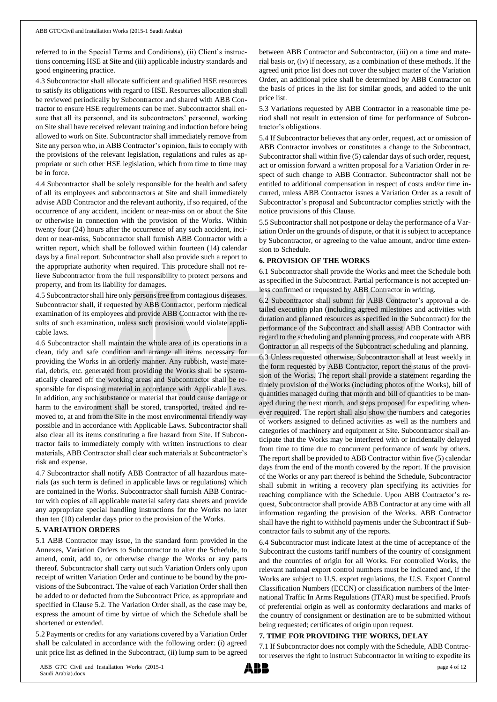referred to in the Special Terms and Conditions), (ii) Client's instructions concerning HSE at Site and (iii) applicable industry standards and good engineering practice.

4.3 Subcontractor shall allocate sufficient and qualified HSE resources to satisfy its obligations with regard to HSE. Resources allocation shall be reviewed periodically by Subcontractor and shared with ABB Contractor to ensure HSE requirements can be met. Subcontractor shall ensure that all its personnel, and its subcontractors' personnel, working on Site shall have received relevant training and induction before being allowed to work on Site. Subcontractor shall immediately remove from Site any person who, in ABB Contractor's opinion, fails to comply with the provisions of the relevant legislation, regulations and rules as appropriate or such other HSE legislation, which from time to time may be in force.

4.4 Subcontractor shall be solely responsible for the health and safety of all its employees and subcontractors at Site and shall immediately advise ABB Contractor and the relevant authority, if so required, of the occurrence of any accident, incident or near-miss on or about the Site or otherwise in connection with the provision of the Works. Within twenty four (24) hours after the occurrence of any such accident, incident or near-miss, Subcontractor shall furnish ABB Contractor with a written report, which shall be followed within fourteen (14) calendar days by a final report. Subcontractor shall also provide such a report to the appropriate authority when required. This procedure shall not relieve Subcontractor from the full responsibility to protect persons and property, and from its liability for damages.

4.5 Subcontractor shall hire only persons free from contagious diseases. Subcontractor shall, if requested by ABB Contractor, perform medical examination of its employees and provide ABB Contractor with the results of such examination, unless such provision would violate applicable laws.

4.6 Subcontractor shall maintain the whole area of its operations in a clean, tidy and safe condition and arrange all items necessary for providing the Works in an orderly manner. Any rubbish, waste material, debris, etc. generated from providing the Works shall be systematically cleared off the working areas and Subcontractor shall be responsible for disposing material in accordance with Applicable Laws. In addition, any such substance or material that could cause damage or harm to the environment shall be stored, transported, treated and removed to, at and from the Site in the most environmental friendly way possible and in accordance with Applicable Laws. Subcontractor shall also clear all its items constituting a fire hazard from Site. If Subcontractor fails to immediately comply with written instructions to clear materials, ABB Contractor shall clear such materials at Subcontractor's risk and expense.

4.7 Subcontractor shall notify ABB Contractor of all hazardous materials (as such term is defined in applicable laws or regulations) which are contained in the Works. Subcontractor shall furnish ABB Contractor with copies of all applicable material safety data sheets and provide any appropriate special handling instructions for the Works no later than ten (10) calendar days prior to the provision of the Works.

#### **5. VARIATION ORDERS**

5.1 ABB Contractor may issue, in the standard form provided in the Annexes, Variation Orders to Subcontractor to alter the Schedule, to amend, omit, add to, or otherwise change the Works or any parts thereof. Subcontractor shall carry out such Variation Orders only upon receipt of written Variation Order and continue to be bound by the provisions of the Subcontract. The value of each Variation Order shall then be added to or deducted from the Subcontract Price, as appropriate and specified in Clause 5.2. The Variation Order shall, as the case may be, express the amount of time by virtue of which the Schedule shall be shortened or extended.

5.2 Payments or credits for any variations covered by a Variation Order shall be calculated in accordance with the following order: (i) agreed unit price list as defined in the Subcontract, (ii) lump sum to be agreed

between ABB Contractor and Subcontractor, (iii) on a time and material basis or, (iv) if necessary, as a combination of these methods. If the agreed unit price list does not cover the subject matter of the Variation Order, an additional price shall be determined by ABB Contractor on the basis of prices in the list for similar goods, and added to the unit price list.

5.3 Variations requested by ABB Contractor in a reasonable time period shall not result in extension of time for performance of Subcontractor's obligations.

5.4 If Subcontractor believes that any order, request, act or omission of ABB Contractor involves or constitutes a change to the Subcontract, Subcontractor shall within five (5) calendar days of such order, request, act or omission forward a written proposal for a Variation Order in respect of such change to ABB Contractor. Subcontractor shall not be entitled to additional compensation in respect of costs and/or time incurred, unless ABB Contractor issues a Variation Order as a result of Subcontractor's proposal and Subcontractor complies strictly with the notice provisions of this Clause.

5.5 Subcontractor shall not postpone or delay the performance of a Variation Order on the grounds of dispute, or that it is subject to acceptance by Subcontractor, or agreeing to the value amount, and/or time extension to Schedule.

#### **6. PROVISION OF THE WORKS**

6.1 Subcontractor shall provide the Works and meet the Schedule both as specified in the Subcontract. Partial performance is not accepted unless confirmed or requested by ABB Contractor in writing.

6.2 Subcontractor shall submit for ABB Contractor's approval a detailed execution plan (including agreed milestones and activities with duration and planned resources as specified in the Subcontract) for the performance of the Subcontract and shall assist ABB Contractor with regard to the scheduling and planning process, and cooperate with ABB Contractor in all respects of the Subcontract scheduling and planning.

6.3 Unless requested otherwise, Subcontractor shall at least weekly in the form requested by ABB Contractor, report the status of the provision of the Works. The report shall provide a statement regarding the timely provision of the Works (including photos of the Works), bill of quantities managed during that month and bill of quantities to be managed during the next month, and steps proposed for expediting whenever required. The report shall also show the numbers and categories of workers assigned to defined activities as well as the numbers and categories of machinery and equipment at Site. Subcontractor shall anticipate that the Works may be interfered with or incidentally delayed from time to time due to concurrent performance of work by others. The report shall be provided to ABB Contractor within five (5) calendar days from the end of the month covered by the report. If the provision of the Works or any part thereof is behind the Schedule, Subcontractor shall submit in writing a recovery plan specifying its activities for reaching compliance with the Schedule. Upon ABB Contractor's request, Subcontractor shall provide ABB Contractor at any time with all information regarding the provision of the Works. ABB Contractor shall have the right to withhold payments under the Subcontract if Subcontractor fails to submit any of the reports.

6.4 Subcontractor must indicate latest at the time of acceptance of the Subcontract the customs tariff numbers of the country of consignment and the countries of origin for all Works. For controlled Works, the relevant national export control numbers must be indicated and, if the Works are subject to U.S. export regulations, the U.S. Export Control Classification Numbers (ECCN) or classification numbers of the International Traffic In Arms Regulations (ITAR) must be specified. Proofs of preferential origin as well as conformity declarations and marks of the country of consignment or destination are to be submitted without being requested; certificates of origin upon request.

#### **7. TIME FOR PROVIDING THE WORKS, DELAY**

7.1 If Subcontractor does not comply with the Schedule, ABB Contractor reserves the right to instruct Subcontractor in writing to expedite its

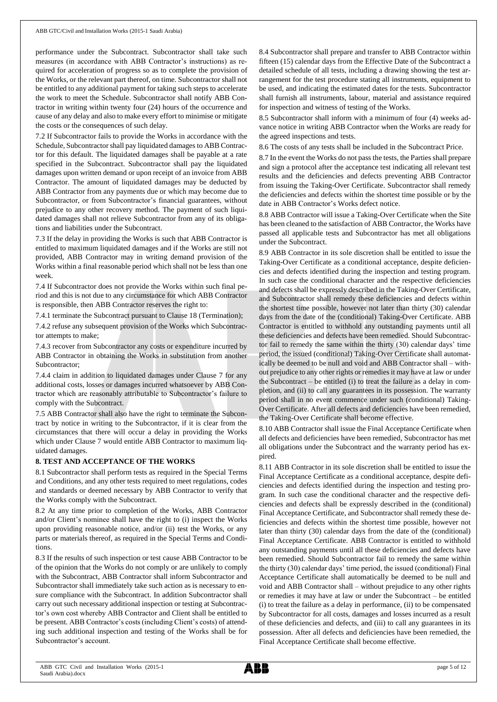performance under the Subcontract. Subcontractor shall take such measures (in accordance with ABB Contractor's instructions) as required for acceleration of progress so as to complete the provision of the Works, or the relevant part thereof, on time. Subcontractor shall not be entitled to any additional payment for taking such steps to accelerate the work to meet the Schedule. Subcontractor shall notify ABB Contractor in writing within twenty four (24) hours of the occurrence and cause of any delay and also to make every effort to minimise or mitigate the costs or the consequences of such delay.

7.2 If Subcontractor fails to provide the Works in accordance with the Schedule, Subcontractor shall pay liquidated damages to ABB Contractor for this default. The liquidated damages shall be payable at a rate specified in the Subcontract. Subcontractor shall pay the liquidated damages upon written demand or upon receipt of an invoice from ABB Contractor. The amount of liquidated damages may be deducted by ABB Contractor from any payments due or which may become due to Subcontractor, or from Subcontractor's financial guarantees, without prejudice to any other recovery method. The payment of such liquidated damages shall not relieve Subcontractor from any of its obligations and liabilities under the Subcontract.

7.3 If the delay in providing the Works is such that ABB Contractor is entitled to maximum liquidated damages and if the Works are still not provided, ABB Contractor may in writing demand provision of the Works within a final reasonable period which shall not be less than one week.

7.4 If Subcontractor does not provide the Works within such final period and this is not due to any circumstance for which ABB Contractor is responsible, then ABB Contractor reserves the right to:

7.4.1 terminate the Subcontract pursuant to Clause 18 (Termination);

7.4.2 refuse any subsequent provision of the Works which Subcontractor attempts to make;

7.4.3 recover from Subcontractor any costs or expenditure incurred by ABB Contractor in obtaining the Works in substitution from another Subcontractor;

7.4.4 claim in addition to liquidated damages under Clause 7 for any additional costs, losses or damages incurred whatsoever by ABB Contractor which are reasonably attributable to Subcontractor's failure to comply with the Subcontract.

7.5 ABB Contractor shall also have the right to terminate the Subcontract by notice in writing to the Subcontractor, if it is clear from the circumstances that there will occur a delay in providing the Works which under Clause 7 would entitle ABB Contractor to maximum liquidated damages.

#### **8. TEST AND ACCEPTANCE OF THE WORKS**

8.1 Subcontractor shall perform tests as required in the Special Terms and Conditions, and any other tests required to meet regulations, codes and standards or deemed necessary by ABB Contractor to verify that the Works comply with the Subcontract.

8.2 At any time prior to completion of the Works, ABB Contractor and/or Client's nominee shall have the right to (i) inspect the Works upon providing reasonable notice, and/or (ii) test the Works, or any parts or materials thereof, as required in the Special Terms and Conditions.

8.3 If the results of such inspection or test cause ABB Contractor to be of the opinion that the Works do not comply or are unlikely to comply with the Subcontract, ABB Contractor shall inform Subcontractor and Subcontractor shall immediately take such action as is necessary to ensure compliance with the Subcontract. In addition Subcontractor shall carry out such necessary additional inspection or testing at Subcontractor's own cost whereby ABB Contractor and Client shall be entitled to be present. ABB Contractor's costs (including Client's costs) of attending such additional inspection and testing of the Works shall be for Subcontractor's account.

8.4 Subcontractor shall prepare and transfer to ABB Contractor within fifteen (15) calendar days from the Effective Date of the Subcontract a detailed schedule of all tests, including a drawing showing the test arrangement for the test procedure stating all instruments, equipment to be used, and indicating the estimated dates for the tests. Subcontractor shall furnish all instruments, labour, material and assistance required for inspection and witness of testing of the Works.

8.5 Subcontractor shall inform with a minimum of four (4) weeks advance notice in writing ABB Contractor when the Works are ready for the agreed inspections and tests.

8.6 The costs of any tests shall be included in the Subcontract Price.

8.7 In the event the Works do not pass the tests, the Parties shall prepare and sign a protocol after the acceptance test indicating all relevant test results and the deficiencies and defects preventing ABB Contractor from issuing the Taking-Over Certificate. Subcontractor shall remedy the deficiencies and defects within the shortest time possible or by the date in ABB Contractor's Works defect notice.

8.8 ABB Contractor will issue a Taking-Over Certificate when the Site has been cleaned to the satisfaction of ABB Contractor, the Works have passed all applicable tests and Subcontractor has met all obligations under the Subcontract.

8.9 ABB Contractor in its sole discretion shall be entitled to issue the Taking-Over Certificate as a conditional acceptance, despite deficiencies and defects identified during the inspection and testing program. In such case the conditional character and the respective deficiencies and defects shall be expressly described in the Taking-Over Certificate, and Subcontractor shall remedy these deficiencies and defects within the shortest time possible, however not later than thirty (30) calendar days from the date of the (conditional) Taking-Over Certificate. ABB Contractor is entitled to withhold any outstanding payments until all these deficiencies and defects have been remedied. Should Subcontractor fail to remedy the same within the thirty (30) calendar days' time period, the issued (conditional) Taking-Over Certificate shall automatically be deemed to be null and void and ABB Contractor shall – without prejudice to any other rights or remedies it may have at law or under the Subcontract – be entitled (i) to treat the failure as a delay in completion, and (ii) to call any guarantees in its possession. The warranty period shall in no event commence under such (conditional) Taking-Over Certificate. After all defects and deficiencies have been remedied, the Taking-Over Certificate shall become effective.

8.10 ABB Contractor shall issue the Final Acceptance Certificate when all defects and deficiencies have been remedied, Subcontractor has met all obligations under the Subcontract and the warranty period has expired.

8.11 ABB Contractor in its sole discretion shall be entitled to issue the Final Acceptance Certificate as a conditional acceptance, despite deficiencies and defects identified during the inspection and testing program. In such case the conditional character and the respective deficiencies and defects shall be expressly described in the (conditional) Final Acceptance Certificate, and Subcontractor shall remedy these deficiencies and defects within the shortest time possible, however not later than thirty (30) calendar days from the date of the (conditional) Final Acceptance Certificate. ABB Contractor is entitled to withhold any outstanding payments until all these deficiencies and defects have been remedied. Should Subcontractor fail to remedy the same within the thirty (30) calendar days' time period, the issued (conditional) Final Acceptance Certificate shall automatically be deemed to be null and void and ABB Contractor shall – without prejudice to any other rights or remedies it may have at law or under the Subcontract – be entitled (i) to treat the failure as a delay in performance, (ii) to be compensated by Subcontractor for all costs, damages and losses incurred as a result of these deficiencies and defects, and (iii) to call any guarantees in its possession. After all defects and deficiencies have been remedied, the Final Acceptance Certificate shall become effective.

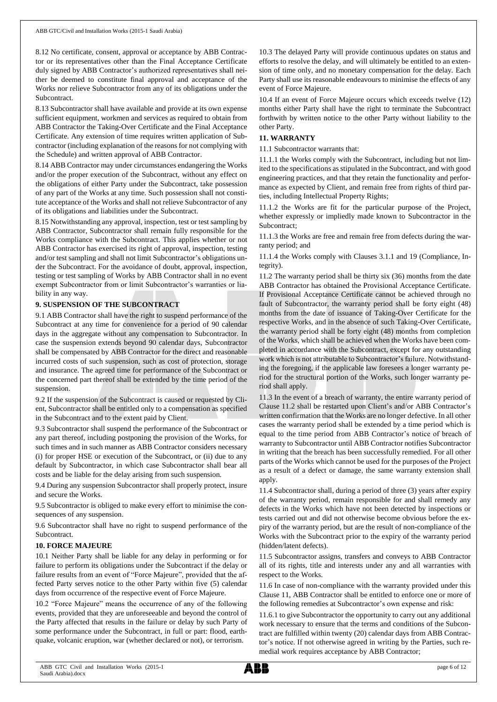8.12 No certificate, consent, approval or acceptance by ABB Contractor or its representatives other than the Final Acceptance Certificate duly signed by ABB Contractor's authorized representatives shall neither be deemed to constitute final approval and acceptance of the Works nor relieve Subcontractor from any of its obligations under the Subcontract.

8.13 Subcontractor shall have available and provide at its own expense sufficient equipment, workmen and services as required to obtain from ABB Contractor the Taking-Over Certificate and the Final Acceptance Certificate. Any extension of time requires written application of Subcontractor (including explanation of the reasons for not complying with the Schedule) and written approval of ABB Contractor.

8.14 ABB Contractor may under circumstances endangering the Works and/or the proper execution of the Subcontract, without any effect on the obligations of either Party under the Subcontract, take possession of any part of the Works at any time. Such possession shall not constitute acceptance of the Works and shall not relieve Subcontractor of any of its obligations and liabilities under the Subcontract.

8.15 Notwithstanding any approval, inspection, test or test sampling by ABB Contractor, Subcontractor shall remain fully responsible for the Works compliance with the Subcontract. This applies whether or not ABB Contractor has exercised its right of approval, inspection, testing and/or test sampling and shall not limit Subcontractor's obligations under the Subcontract. For the avoidance of doubt, approval, inspection, testing or test sampling of Works by ABB Contractor shall in no event exempt Subcontractor from or limit Subcontractor's warranties or liability in any way.

## **9. SUSPENSION OF THE SUBCONTRACT**

9.1 ABB Contractor shall have the right to suspend performance of the Subcontract at any time for convenience for a period of 90 calendar days in the aggregate without any compensation to Subcontractor. In case the suspension extends beyond 90 calendar days, Subcontractor shall be compensated by ABB Contractor for the direct and reasonable incurred costs of such suspension, such as cost of protection, storage and insurance. The agreed time for performance of the Subcontract or the concerned part thereof shall be extended by the time period of the suspension.

9.2 If the suspension of the Subcontract is caused or requested by Client, Subcontractor shall be entitled only to a compensation as specified in the Subcontract and to the extent paid by Client.

9.3 Subcontractor shall suspend the performance of the Subcontract or any part thereof, including postponing the provision of the Works, for such times and in such manner as ABB Contractor considers necessary (i) for proper HSE or execution of the Subcontract, or (ii) due to any default by Subcontractor, in which case Subcontractor shall bear all costs and be liable for the delay arising from such suspension.

9.4 During any suspension Subcontractor shall properly protect, insure and secure the Works.

9.5 Subcontractor is obliged to make every effort to minimise the consequences of any suspension.

9.6 Subcontractor shall have no right to suspend performance of the Subcontract.

# **10. FORCE MAJEURE**

10.1 Neither Party shall be liable for any delay in performing or for failure to perform its obligations under the Subcontract if the delay or failure results from an event of "Force Majeure", provided that the affected Party serves notice to the other Party within five (5) calendar days from occurrence of the respective event of Force Majeure.

10.2 "Force Majeure" means the occurrence of any of the following events, provided that they are unforeseeable and beyond the control of the Party affected that results in the failure or delay by such Party of some performance under the Subcontract, in full or part: flood, earthquake, volcanic eruption, war (whether declared or not), or terrorism.

10.3 The delayed Party will provide continuous updates on status and efforts to resolve the delay, and will ultimately be entitled to an extension of time only, and no monetary compensation for the delay. Each Party shall use its reasonable endeavours to minimise the effects of any event of Force Majeure.

10.4 If an event of Force Majeure occurs which exceeds twelve (12) months either Party shall have the right to terminate the Subcontract forthwith by written notice to the other Party without liability to the other Party.

# **11. WARRANTY**

11.1 Subcontractor warrants that:

11.1.1 the Works comply with the Subcontract, including but not limited to the specifications as stipulated in the Subcontract, and with good engineering practices, and that they retain the functionality and performance as expected by Client, and remain free from rights of third parties, including Intellectual Property Rights;

11.1.2 the Works are fit for the particular purpose of the Project, whether expressly or impliedly made known to Subcontractor in the Subcontract;

11.1.3 the Works are free and remain free from defects during the warranty period; and

11.1.4 the Works comply with Clauses 3.1.1 and 19 (Compliance, Integrity).

11.2 The warranty period shall be thirty six (36) months from the date ABB Contractor has obtained the Provisional Acceptance Certificate. If Provisional Acceptance Certificate cannot be achieved through no fault of Subcontractor, the warranty period shall be forty eight (48) months from the date of issuance of Taking-Over Certificate for the respective Works, and in the absence of such Taking-Over Certificate, the warranty period shall be forty eight (48) months from completion of the Works, which shall be achieved when the Works have been completed in accordance with the Subcontract, except for any outstanding work which is not attributable to Subcontractor's failure. Notwithstanding the foregoing, if the applicable law foresees a longer warranty period for the structural portion of the Works, such longer warranty period shall apply.

11.3 In the event of a breach of warranty, the entire warranty period of Clause 11.2 shall be restarted upon Client's and/or ABB Contractor's written confirmation that the Works are no longer defective. In all other cases the warranty period shall be extended by a time period which is equal to the time period from ABB Contractor's notice of breach of warranty to Subcontractor until ABB Contractor notifies Subcontractor in writing that the breach has been successfully remedied. For all other parts of the Works which cannot be used for the purposes of the Project as a result of a defect or damage, the same warranty extension shall apply.

11.4 Subcontractor shall, during a period of three (3) years after expiry of the warranty period, remain responsible for and shall remedy any defects in the Works which have not been detected by inspections or tests carried out and did not otherwise become obvious before the expiry of the warranty period, but are the result of non-compliance of the Works with the Subcontract prior to the expiry of the warranty period (hidden/latent defects).

11.5 Subcontractor assigns, transfers and conveys to ABB Contractor all of its rights, title and interests under any and all warranties with respect to the Works.

11.6 In case of non-compliance with the warranty provided under this Clause 11, ABB Contractor shall be entitled to enforce one or more of the following remedies at Subcontractor's own expense and risk:

11.6.1 to give Subcontractor the opportunity to carry out any additional work necessary to ensure that the terms and conditions of the Subcontract are fulfilled within twenty (20) calendar days from ABB Contractor's notice. If not otherwise agreed in writing by the Parties, such remedial work requires acceptance by ABB Contractor;

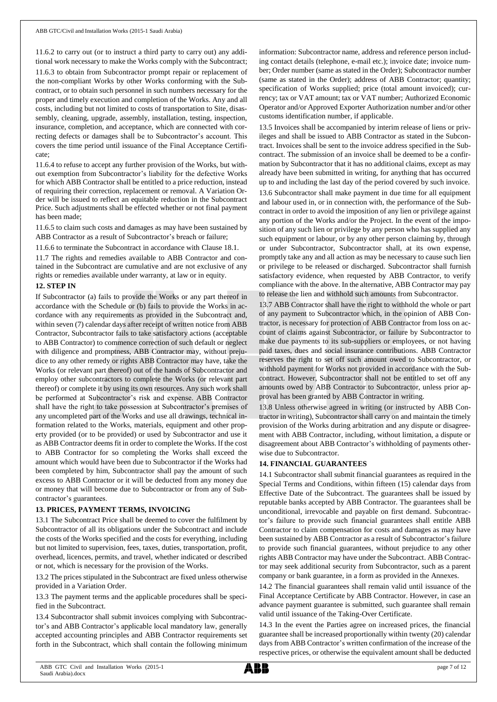11.6.2 to carry out (or to instruct a third party to carry out) any additional work necessary to make the Works comply with the Subcontract; 11.6.3 to obtain from Subcontractor prompt repair or replacement of the non-compliant Works by other Works conforming with the Subcontract, or to obtain such personnel in such numbers necessary for the proper and timely execution and completion of the Works. Any and all costs, including but not limited to costs of transportation to Site, disassembly, cleaning, upgrade, assembly, installation, testing, inspection, insurance, completion, and acceptance, which are connected with correcting defects or damages shall be to Subcontractor's account. This covers the time period until issuance of the Final Acceptance Certificate;

11.6.4 to refuse to accept any further provision of the Works, but without exemption from Subcontractor's liability for the defective Works for which ABB Contractor shall be entitled to a price reduction, instead of requiring their correction, replacement or removal. A Variation Order will be issued to reflect an equitable reduction in the Subcontract Price. Such adjustments shall be effected whether or not final payment has been made;

11.6.5 to claim such costs and damages as may have been sustained by ABB Contractor as a result of Subcontractor's breach or failure;

11.6.6 to terminate the Subcontract in accordance with Clause 18.1.

11.7 The rights and remedies available to ABB Contractor and contained in the Subcontract are cumulative and are not exclusive of any rights or remedies available under warranty, at law or in equity.

## **12. STEP IN**

If Subcontractor (a) fails to provide the Works or any part thereof in accordance with the Schedule or (b) fails to provide the Works in accordance with any requirements as provided in the Subcontract and, within seven (7) calendar days after receipt of written notice from ABB Contractor, Subcontractor fails to take satisfactory actions (acceptable to ABB Contractor) to commence correction of such default or neglect with diligence and promptness, ABB Contractor may, without prejudice to any other remedy or rights ABB Contractor may have, take the Works (or relevant part thereof) out of the hands of Subcontractor and employ other subcontractors to complete the Works (or relevant part thereof) or complete it by using its own resources. Any such work shall be performed at Subcontractor's risk and expense. ABB Contractor shall have the right to take possession at Subcontractor's premises of any uncompleted part of the Works and use all drawings, technical information related to the Works, materials, equipment and other property provided (or to be provided) or used by Subcontractor and use it as ABB Contractor deems fit in order to complete the Works. If the cost to ABB Contractor for so completing the Works shall exceed the amount which would have been due to Subcontractor if the Works had been completed by him, Subcontractor shall pay the amount of such excess to ABB Contractor or it will be deducted from any money due or money that will become due to Subcontractor or from any of Subcontractor's guarantees.

#### **13. PRICES, PAYMENT TERMS, INVOICING**

13.1 The Subcontract Price shall be deemed to cover the fulfilment by Subcontractor of all its obligations under the Subcontract and include the costs of the Works specified and the costs for everything, including but not limited to supervision, fees, taxes, duties, transportation, profit, overhead, licences, permits, and travel, whether indicated or described or not, which is necessary for the provision of the Works.

13.2 The prices stipulated in the Subcontract are fixed unless otherwise provided in a Variation Order.

13.3 The payment terms and the applicable procedures shall be specified in the Subcontract.

13.4 Subcontractor shall submit invoices complying with Subcontractor's and ABB Contractor's applicable local mandatory law, generally accepted accounting principles and ABB Contractor requirements set forth in the Subcontract, which shall contain the following minimum information: Subcontractor name, address and reference person including contact details (telephone, e-mail etc.); invoice date; invoice number; Order number (same as stated in the Order); Subcontractor number (same as stated in the Order); address of ABB Contractor; quantity; specification of Works supplied; price (total amount invoiced); currency; tax or VAT amount; tax or VAT number; Authorized Economic Operator and/or Approved Exporter Authorization number and/or other customs identification number, if applicable.

13.5 Invoices shall be accompanied by interim release of liens or privileges and shall be issued to ABB Contractor as stated in the Subcontract. Invoices shall be sent to the invoice address specified in the Subcontract. The submission of an invoice shall be deemed to be a confirmation by Subcontractor that it has no additional claims, except as may already have been submitted in writing, for anything that has occurred up to and including the last day of the period covered by such invoice.

13.6 Subcontractor shall make payment in due time for all equipment and labour used in, or in connection with, the performance of the Subcontract in order to avoid the imposition of any lien or privilege against any portion of the Works and/or the Project. In the event of the imposition of any such lien or privilege by any person who has supplied any such equipment or labour, or by any other person claiming by, through or under Subcontractor, Subcontractor shall, at its own expense, promptly take any and all action as may be necessary to cause such lien or privilege to be released or discharged. Subcontractor shall furnish satisfactory evidence, when requested by ABB Contractor, to verify compliance with the above. In the alternative, ABB Contractor may pay to release the lien and withhold such amounts from Subcontractor.

13.7 ABB Contractor shall have the right to withhold the whole or part of any payment to Subcontractor which, in the opinion of ABB Contractor, is necessary for protection of ABB Contractor from loss on account of claims against Subcontractor, or failure by Subcontractor to make due payments to its sub-suppliers or employees, or not having paid taxes, dues and social insurance contributions. ABB Contractor reserves the right to set off such amount owed to Subcontractor, or withhold payment for Works not provided in accordance with the Subcontract. However, Subcontractor shall not be entitled to set off any amounts owed by ABB Contractor to Subcontractor, unless prior approval has been granted by ABB Contractor in writing.

13.8 Unless otherwise agreed in writing (or instructed by ABB Contractor in writing), Subcontractorshall carry on and maintain the timely provision of the Works during arbitration and any dispute or disagreement with ABB Contractor, including, without limitation, a dispute or disagreement about ABB Contractor's withholding of payments otherwise due to Subcontractor.

# **14. FINANCIAL GUARANTEES**

14.1 Subcontractor shall submit financial guarantees as required in the Special Terms and Conditions, within fifteen (15) calendar days from Effective Date of the Subcontract. The guarantees shall be issued by reputable banks accepted by ABB Contractor. The guarantees shall be unconditional, irrevocable and payable on first demand. Subcontractor's failure to provide such financial guarantees shall entitle ABB Contractor to claim compensation for costs and damages as may have been sustained by ABB Contractor as a result of Subcontractor's failure to provide such financial guarantees, without prejudice to any other rights ABB Contractor may have under the Subcontract. ABB Contractor may seek additional security from Subcontractor, such as a parent company or bank guarantee, in a form as provided in the Annexes.

14.2 The financial guarantees shall remain valid until issuance of the Final Acceptance Certificate by ABB Contractor. However, in case an advance payment guarantee is submitted, such guarantee shall remain valid until issuance of the Taking-Over Certificate.

14.3 In the event the Parties agree on increased prices, the financial guarantee shall be increased proportionally within twenty (20) calendar days from ABB Contractor's written confirmation of the increase of the respective prices, or otherwise the equivalent amount shall be deducted

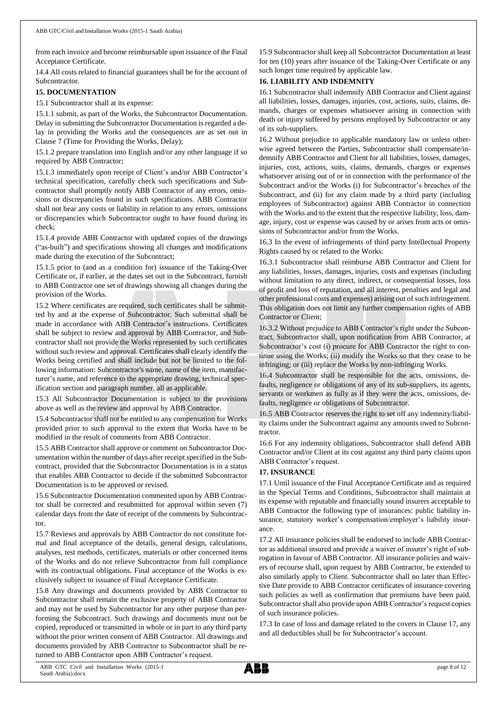from each invoice and become reimbursable upon issuance of the Final Acceptance Certificate.

14.4 All costs related to financial guarantees shall be for the account of Subcontractor.

## **15. DOCUMENTATION**

15.1 Subcontractor shall at its expense:

15.1.1 submit, as part of the Works, the Subcontractor Documentation. Delay in submitting the Subcontractor Documentation is regarded a delay in providing the Works and the consequences are as set out in Clause 7 (Time for Providing the Works, Delay);

15.1.2 prepare translation into English and/or any other language if so required by ABB Contractor;

15.1.3 immediately upon receipt of Client's and/or ABB Contractor's technical specification, carefully check such specifications and Subcontractor shall promptly notify ABB Contractor of any errors, omissions or discrepancies found in such specifications. ABB Contractor shall not bear any costs or liability in relation to any errors, omissions or discrepancies which Subcontractor ought to have found during its check;

15.1.4 provide ABB Contractor with updated copies of the drawings ("as-built") and specifications showing all changes and modifications made during the execution of the Subcontract;

15.1.5 prior to (and as a condition for) issuance of the Taking-Over Certificate or, if earlier, at the dates set out in the Subcontract, furnish to ABB Contractor one set of drawings showing all changes during the provision of the Works.

15.2 Where certificates are required, such certificates shall be submitted by and at the expense of Subcontractor. Such submittal shall be made in accordance with ABB Contractor's instructions. Certificates shall be subject to review and approval by ABB Contractor, and Subcontractor shall not provide the Works represented by such certificates without such review and approval. Certificates shall clearly identify the Works being certified and shall include but not be limited to the following information: Subcontractor's name, name of the item, manufacturer's name, and reference to the appropriate drawing, technical specification section and paragraph number, all as applicable.

15.3 All Subcontractor Documentation is subject to the provisions above as well as the review and approval by ABB Contractor.

15.4 Subcontractor shall not be entitled to any compensation for Works provided prior to such approval to the extent that Works have to be modified in the result of comments from ABB Contractor.

15.5 ABB Contractor shall approve or comment on Subcontractor Documentation within the number of days after receipt specified in the Subcontract, provided that the Subcontractor Documentation is in a status that enables ABB Contractor to decide if the submitted Subcontractor Documentation is to be approved or revised.

15.6 Subcontractor Documentation commented upon by ABB Contractor shall be corrected and resubmitted for approval within seven (7) calendar days from the date of receipt of the comments by Subcontractor.

15.7 Reviews and approvals by ABB Contractor do not constitute formal and final acceptance of the details, general design, calculations, analyses, test methods, certificates, materials or other concerned items of the Works and do not relieve Subcontractor from full compliance with its contractual obligations. Final acceptance of the Works is exclusively subject to issuance of Final Acceptance Certificate.

15.8 Any drawings and documents provided by ABB Contractor to Subcontractor shall remain the exclusive property of ABB Contractor and may not be used by Subcontractor for any other purpose than performing the Subcontract. Such drawings and documents must not be copied, reproduced or transmitted in whole or in part to any third party without the prior written consent of ABB Contractor. All drawings and documents provided by ABB Contractor to Subcontractor shall be returned to ABB Contractor upon ABB Contractor's request.

15.9 Subcontractor shall keep all Subcontractor Documentation at least for ten (10) years after issuance of the Taking-Over Certificate or any such longer time required by applicable law.

# **16. LIABILITY AND INDEMNITY**

16.1 Subcontractor shall indemnify ABB Contractor and Client against all liabilities, losses, damages, injuries, cost, actions, suits, claims, demands, charges or expenses whatsoever arising in connection with death or injury suffered by persons employed by Subcontractor or any of its sub-suppliers.

16.2 Without prejudice to applicable mandatory law or unless otherwise agreed between the Parties, Subcontractor shall compensate/indemnify ABB Contractor and Client for all liabilities, losses, damages, injuries, cost, actions, suits, claims, demands, charges or expenses whatsoever arising out of or in connection with the performance of the Subcontract and/or the Works (i) for Subcontractor's breaches of the Subcontract, and (ii) for any claim made by a third party (including employees of Subcontractor) against ABB Contractor in connection with the Works and to the extent that the respective liability, loss, damage, injury, cost or expense was caused by or arises from acts or omissions of Subcontractor and/or from the Works.

16.3 In the event of infringements of third party Intellectual Property Rights caused by or related to the Works:

16.3.1 Subcontractor shall reimburse ABB Contractor and Client for any liabilities, losses, damages, injuries, costs and expenses (including without limitation to any direct, indirect, or consequential losses, loss of profit and loss of reputation, and all interest, penalties and legal and other professional costs and expenses) arising out of such infringement. This obligation does not limit any further compensation rights of ABB Contractor or Client;

16.3.2 Without prejudice to ABB Contractor's right under the Subcontract, Subcontractor shall, upon notification from ABB Contractor, at Subcontractor's cost (i) procure for ABB Contractor the right to continue using the Works; (ii) modify the Works so that they cease to be infringing; or (iii) replace the Works by non-infringing Works.

16.4 Subcontractor shall be responsible for the acts, omissions, defaults, negligence or obligations of any of its sub-suppliers, its agents, servants or workmen as fully as if they were the acts, omissions, defaults, negligence or obligations of Subcontractor.

16.5 ABB Contractor reserves the right to set off any indemnity/liability claims under the Subcontract against any amounts owed to Subcontractor.

16.6 For any indemnity obligations, Subcontractor shall defend ABB Contractor and/or Client at its cost against any third party claims upon ABB Contractor's request.

# **17. INSURANCE**

17.1 Until issuance of the Final Acceptance Certificate and as required in the Special Terms and Conditions, Subcontractor shall maintain at its expense with reputable and financially sound insurers acceptable to ABB Contractor the following type of insurances: public liability insurance, statutory worker's compensation/employer's liability insurance.

17.2 All insurance policies shall be endorsed to include ABB Contractor as additional insured and provide a waiver of insurer's right of subrogation in favour of ABB Contractor. All insurance policies and waivers of recourse shall, upon request by ABB Contractor, be extended to also similarly apply to Client. Subcontractor shall no later than Effective Date provide to ABB Contractor certificates of insurance covering such policies as well as confirmation that premiums have been paid. Subcontractor shall also provide upon ABB Contractor's request copies of such insurance policies.

17.3 In case of loss and damage related to the covers in Clause 17, any and all deductibles shall be for Subcontractor's account.

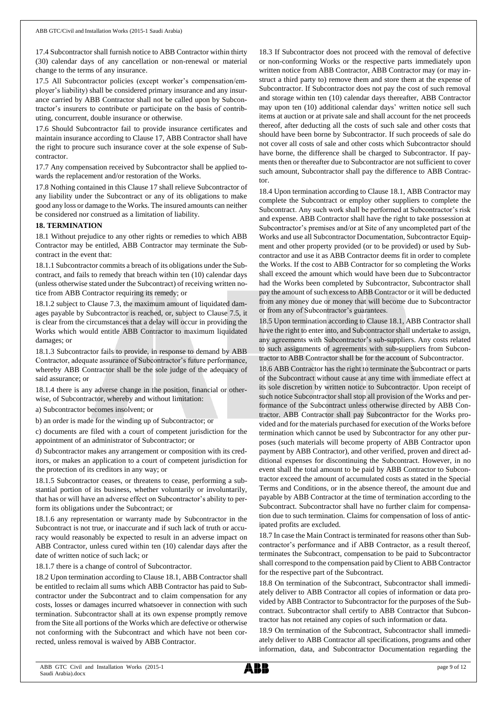17.4 Subcontractor shall furnish notice to ABB Contractor within thirty (30) calendar days of any cancellation or non-renewal or material change to the terms of any insurance.

17.5 All Subcontractor policies (except worker's compensation/employer's liability) shall be considered primary insurance and any insurance carried by ABB Contractor shall not be called upon by Subcontractor's insurers to contribute or participate on the basis of contributing, concurrent, double insurance or otherwise.

17.6 Should Subcontractor fail to provide insurance certificates and maintain insurance according to Clause 17, ABB Contractor shall have the right to procure such insurance cover at the sole expense of Subcontractor.

17.7 Any compensation received by Subcontractor shall be applied towards the replacement and/or restoration of the Works.

17.8 Nothing contained in this Clause 17 shall relieve Subcontractor of any liability under the Subcontract or any of its obligations to make good any loss or damage to the Works. The insured amounts can neither be considered nor construed as a limitation of liability.

#### **18. TERMINATION**

18.1 Without prejudice to any other rights or remedies to which ABB Contractor may be entitled, ABB Contractor may terminate the Subcontract in the event that:

18.1.1 Subcontractor commits a breach of its obligations under the Subcontract, and fails to remedy that breach within ten (10) calendar days (unless otherwise stated under the Subcontract) of receiving written notice from ABB Contractor requiring its remedy; or

18.1.2 subject to Clause 7.3, the maximum amount of liquidated damages payable by Subcontractor is reached, or, subject to Clause 7.5, it is clear from the circumstances that a delay will occur in providing the Works which would entitle ABB Contractor to maximum liquidated damages; or

18.1.3 Subcontractor fails to provide, in response to demand by ABB Contractor, adequate assurance of Subcontractor's future performance, whereby ABB Contractor shall be the sole judge of the adequacy of said assurance; or

18.1.4 there is any adverse change in the position, financial or otherwise, of Subcontractor, whereby and without limitation:

a) Subcontractor becomes insolvent; or

b) an order is made for the winding up of Subcontractor; or

c) documents are filed with a court of competent jurisdiction for the appointment of an administrator of Subcontractor; or

d) Subcontractor makes any arrangement or composition with its creditors, or makes an application to a court of competent jurisdiction for the protection of its creditors in any way; or

18.1.5 Subcontractor ceases, or threatens to cease, performing a substantial portion of its business, whether voluntarily or involuntarily, that has or will have an adverse effect on Subcontractor's ability to perform its obligations under the Subcontract; or

18.1.6 any representation or warranty made by Subcontractor in the Subcontract is not true, or inaccurate and if such lack of truth or accuracy would reasonably be expected to result in an adverse impact on ABB Contractor, unless cured within ten (10) calendar days after the date of written notice of such lack; or

18.1.7 there is a change of control of Subcontractor.

18.2 Upon termination according to Clause 18.1, ABB Contractor shall be entitled to reclaim all sums which ABB Contractor has paid to Subcontractor under the Subcontract and to claim compensation for any costs, losses or damages incurred whatsoever in connection with such termination. Subcontractor shall at its own expense promptly remove from the Site all portions of the Works which are defective or otherwise not conforming with the Subcontract and which have not been corrected, unless removal is waived by ABB Contractor.

18.3 If Subcontractor does not proceed with the removal of defective or non-conforming Works or the respective parts immediately upon written notice from ABB Contractor, ABB Contractor may (or may instruct a third party to) remove them and store them at the expense of Subcontractor. If Subcontractor does not pay the cost of such removal and storage within ten (10) calendar days thereafter, ABB Contractor may upon ten (10) additional calendar days' written notice sell such items at auction or at private sale and shall account for the net proceeds thereof, after deducting all the costs of such sale and other costs that should have been borne by Subcontractor. If such proceeds of sale do not cover all costs of sale and other costs which Subcontractor should have borne, the difference shall be charged to Subcontractor. If payments then or thereafter due to Subcontractor are not sufficient to cover such amount, Subcontractor shall pay the difference to ABB Contractor.

18.4 Upon termination according to Clause 18.1, ABB Contractor may complete the Subcontract or employ other suppliers to complete the Subcontract. Any such work shall be performed at Subcontractor's risk and expense. ABB Contractor shall have the right to take possession at Subcontractor's premises and/or at Site of any uncompleted part of the Works and use all Subcontractor Documentation, Subcontractor Equipment and other property provided (or to be provided) or used by Subcontractor and use it as ABB Contractor deems fit in order to complete the Works. If the cost to ABB Contractor for so completing the Works shall exceed the amount which would have been due to Subcontractor had the Works been completed by Subcontractor, Subcontractor shall pay the amount of such excess to ABB Contractor or it will be deducted from any money due or money that will become due to Subcontractor or from any of Subcontractor's guarantees.

18.5 Upon termination according to Clause 18.1, ABB Contractor shall have the right to enter into, and Subcontractor shall undertake to assign, any agreements with Subcontractor's sub-suppliers. Any costs related to such assignments of agreements with sub-suppliers from Subcontractor to ABB Contractor shall be for the account of Subcontractor.

18.6 ABB Contractor has the right to terminate the Subcontract or parts of the Subcontract without cause at any time with immediate effect at its sole discretion by written notice to Subcontractor. Upon receipt of such notice Subcontractor shall stop all provision of the Works and performance of the Subcontract unless otherwise directed by ABB Contractor. ABB Contractor shall pay Subcontractor for the Works provided and for the materials purchased for execution of the Works before termination which cannot be used by Subcontractor for any other purposes (such materials will become property of ABB Contractor upon payment by ABB Contractor), and other verified, proven and direct additional expenses for discontinuing the Subcontract. However, in no event shall the total amount to be paid by ABB Contractor to Subcontractor exceed the amount of accumulated costs as stated in the Special Terms and Conditions, or in the absence thereof, the amount due and payable by ABB Contractor at the time of termination according to the Subcontract. Subcontractor shall have no further claim for compensation due to such termination. Claims for compensation of loss of anticipated profits are excluded.

18.7 In case the Main Contract is terminated for reasons other than Subcontractor's performance and if ABB Contractor, as a result thereof, terminates the Subcontract, compensation to be paid to Subcontractor shall correspond to the compensation paid by Client to ABB Contractor for the respective part of the Subcontract.

18.8 On termination of the Subcontract, Subcontractor shall immediately deliver to ABB Contractor all copies of information or data provided by ABB Contractor to Subcontractor for the purposes of the Subcontract. Subcontractor shall certify to ABB Contractor that Subcontractor has not retained any copies of such information or data.

18.9 On termination of the Subcontract, Subcontractor shall immediately deliver to ABB Contractor all specifications, programs and other information, data, and Subcontractor Documentation regarding the

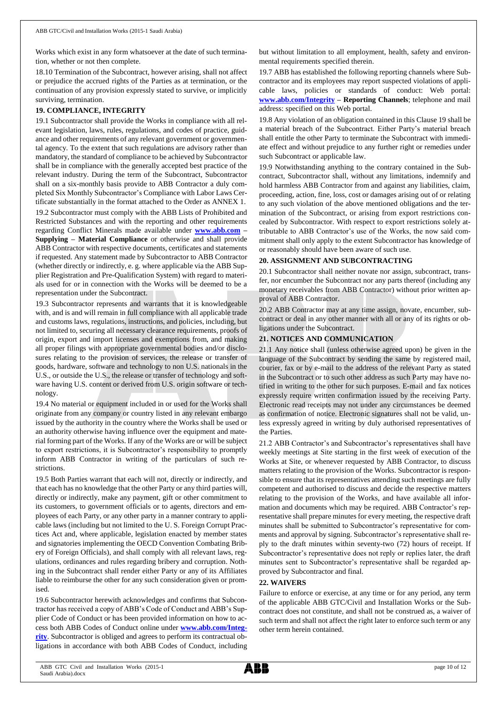Works which exist in any form whatsoever at the date of such termination, whether or not then complete.

18.10 Termination of the Subcontract, however arising, shall not affect or prejudice the accrued rights of the Parties as at termination, or the continuation of any provision expressly stated to survive, or implicitly surviving, termination.

# **19. COMPLIANCE, INTEGRITY**

19.1 Subcontractor shall provide the Works in compliance with all relevant legislation, laws, rules, regulations, and codes of practice, guidance and other requirements of any relevant government or governmental agency. To the extent that such regulations are advisory rather than mandatory, the standard of compliance to be achieved by Subcontractor shall be in compliance with the generally accepted best practice of the relevant industry. During the term of the Subcontract, Subcontractor shall on a six-monthly basis provide to ABB Contractor a duly completed Six Monthly Subcontractor's Compliance with Labor Laws Certificate substantially in the format attached to the Order as ANNEX 1. 19.2 Subcontractor must comply with the ABB Lists of Prohibited and Restricted Substances and with the reporting and other requirements regarding Conflict Minerals made available under **[www.abb.com](http://www.abb.com/) – Supplying – Material Compliance** or otherwise and shall provide ABB Contractor with respective documents, certificates and statements if requested. Any statement made by Subcontractor to ABB Contractor (whether directly or indirectly, e. g. where applicable via the ABB Supplier Registration and Pre-Qualification System) with regard to materials used for or in connection with the Works will be deemed to be a representation under the Subcontract.

19.3 Subcontractor represents and warrants that it is knowledgeable with, and is and will remain in full compliance with all applicable trade and customs laws, regulations, instructions, and policies, including, but not limited to, securing all necessary clearance requirements, proofs of origin, export and import licenses and exemptions from, and making all proper filings with appropriate governmental bodies and/or disclosures relating to the provision of services, the release or transfer of goods, hardware, software and technology to non U.S. nationals in the U.S., or outside the U.S., the release or transfer of technology and software having U.S. content or derived from U.S. origin software or technology.

19.4 No material or equipment included in or used for the Works shall originate from any company or country listed in any relevant embargo issued by the authority in the country where the Works shall be used or an authority otherwise having influence over the equipment and material forming part of the Works. If any of the Works are or will be subject to export restrictions, it is Subcontractor's responsibility to promptly inform ABB Contractor in writing of the particulars of such restrictions.

19.5 Both Parties warrant that each will not, directly or indirectly, and that each has no knowledge that the other Party or any third parties will, directly or indirectly, make any payment, gift or other commitment to its customers, to government officials or to agents, directors and employees of each Party, or any other party in a manner contrary to applicable laws (including but not limited to the U. S. Foreign Corrupt Practices Act and, where applicable, legislation enacted by member states and signatories implementing the OECD Convention Combating Bribery of Foreign Officials), and shall comply with all relevant laws, regulations, ordinances and rules regarding bribery and corruption. Nothing in the Subcontract shall render either Party or any of its Affiliates liable to reimburse the other for any such consideration given or promised.

19.6 Subcontractor herewith acknowledges and confirms that Subcontractor has received a copy of ABB's Code of Conduct and ABB's Supplier Code of Conduct or has been provided information on how to access both ABB Codes of Conduct online under **[www.abb.com/Integ](http://www.abb.com/Integrity)[rity](http://www.abb.com/Integrity)**. Subcontractor is obliged and agrees to perform its contractual obligations in accordance with both ABB Codes of Conduct, including

but without limitation to all employment, health, safety and environmental requirements specified therein.

19.7 ABB has established the following reporting channels where Subcontractor and its employees may report suspected violations of applicable laws, policies or standards of conduct: Web portal: **[www.abb.com/Integrity](http://www.abb.com/Integrity) – Reporting Channels**; telephone and mail address: specified on this Web portal.

19.8 Any violation of an obligation contained in this Clause 19 shall be a material breach of the Subcontract. Either Party's material breach shall entitle the other Party to terminate the Subcontract with immediate effect and without prejudice to any further right or remedies under such Subcontract or applicable law.

19.9 Notwithstanding anything to the contrary contained in the Subcontract, Subcontractor shall, without any limitations, indemnify and hold harmless ABB Contractor from and against any liabilities, claim, proceeding, action, fine, loss, cost or damages arising out of or relating to any such violation of the above mentioned obligations and the termination of the Subcontract, or arising from export restrictions concealed by Subcontractor. With respect to export restrictions solely attributable to ABB Contractor's use of the Works, the now said commitment shall only apply to the extent Subcontractor has knowledge of or reasonably should have been aware of such use.

## **20. ASSIGNMENT AND SUBCONTRACTING**

20.1 Subcontractor shall neither novate nor assign, subcontract, transfer, nor encumber the Subcontract nor any parts thereof (including any monetary receivables from ABB Contractor) without prior written approval of ABB Contractor.

20.2 ABB Contractor may at any time assign, novate, encumber, subcontract or deal in any other manner with all or any of its rights or obligations under the Subcontract.

## **21. NOTICES AND COMMUNICATION**

21.1 Any notice shall (unless otherwise agreed upon) be given in the language of the Subcontract by sending the same by registered mail, courier, fax or by e-mail to the address of the relevant Party as stated in the Subcontract or to such other address as such Party may have notified in writing to the other for such purposes. E-mail and fax notices expressly require written confirmation issued by the receiving Party. Electronic read receipts may not under any circumstances be deemed as confirmation of notice. Electronic signatures shall not be valid, unless expressly agreed in writing by duly authorised representatives of the Parties.

21.2 ABB Contractor's and Subcontractor's representatives shall have weekly meetings at Site starting in the first week of execution of the Works at Site, or whenever requested by ABB Contractor, to discuss matters relating to the provision of the Works. Subcontractor is responsible to ensure that its representatives attending such meetings are fully competent and authorised to discuss and decide the respective matters relating to the provision of the Works, and have available all information and documents which may be required. ABB Contractor's representative shall prepare minutes for every meeting, the respective draft minutes shall be submitted to Subcontractor's representative for comments and approval by signing. Subcontractor's representative shall reply to the draft minutes within seventy-two (72) hours of receipt. If Subcontractor's representative does not reply or replies later, the draft minutes sent to Subcontractor's representative shall be regarded approved by Subcontractor and final.

#### **22. WAIVERS**

Failure to enforce or exercise, at any time or for any period, any term of the applicable ABB GTC/Civil and Installation Works or the Subcontract does not constitute, and shall not be construed as, a waiver of such term and shall not affect the right later to enforce such term or any other term herein contained.

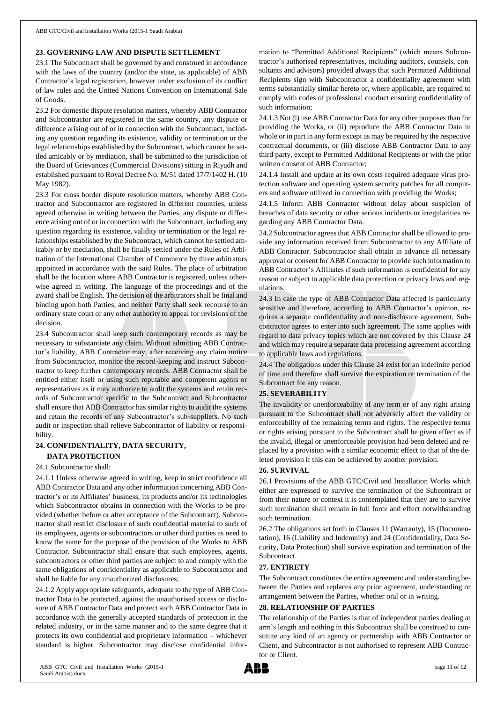#### **23. GOVERNING LAW AND DISPUTE SETTLEMENT**

23.1 The Subcontract shall be governed by and construed in accordance with the laws of the country (and/or the state, as applicable) of ABB Contractor's legal registration, however under exclusion of its conflict of law rules and the United Nations Convention on International Sale of Goods.

23.2 For domestic dispute resolution matters, whereby ABB Contractor and Subcontractor are registered in the same country, any dispute or difference arising out of or in connection with the Subcontract, including any question regarding its existence, validity or termination or the legal relationships established by the Subcontract, which cannot be settled amicably or by mediation, shall be submitted to the jurisdiction of the Board of Grievances (Commercial Divisions) sitting in Riyadh and established pursuant to Royal Decree No. M/51 dated 17/7/1402 H. (10 May 1982).

23.3 For cross border dispute resolution matters, whereby ABB Contractor and Subcontractor are registered in different countries, unless agreed otherwise in writing between the Parties, any dispute or difference arising out of or in connection with the Subcontract, including any question regarding its existence, validity or termination or the legal relationships established by the Subcontract, which cannot be settled amicably or by mediation, shall be finally settled under the Rules of Arbitration of the International Chamber of Commerce by three arbitrators appointed in accordance with the said Rules. The place of arbitration shall be the location where ABB Contractor is registered, unless otherwise agreed in writing. The language of the proceedings and of the award shall be English. The decision of the arbitrators shall be final and binding upon both Parties, and neither Party shall seek recourse to an ordinary state court or any other authority to appeal for revisions of the decision.

23.4 Subcontractor shall keep such contemporary records as may be necessary to substantiate any claim. Without admitting ABB Contractor's liability, ABB Contractor may, after receiving any claim notice from Subcontractor, monitor the record-keeping and instruct Subcontractor to keep further contemporary records. ABB Contractor shall be entitled either itself or using such reputable and competent agents or representatives as it may authorize to audit the systems and retain records of Subcontractor specific to the Subcontract and Subcontractor shall ensure that ABB Contractor has similar rights to audit the systems and retain the records of any Subcontractor's sub-suppliers. No such audit or inspection shall relieve Subcontractor of liability or responsibility.

# **24. CONFIDENTIALITY, DATA SECURITY, DATA PROTECTION**

#### 24.1 Subcontractor shall:

24.1.1 Unless otherwise agreed in writing, keep in strict confidence all ABB Contractor Data and any other information concerning ABB Contractor's or its Affiliates' business, its products and/or its technologies which Subcontractor obtains in connection with the Works to be provided (whether before or after acceptance of the Subcontract). Subcontractor shall restrict disclosure of such confidential material to such of its employees, agents or subcontractors or other third parties as need to know the same for the purpose of the provision of the Works to ABB Contractor. Subcontractor shall ensure that such employees, agents, subcontractors or other third parties are subject to and comply with the same obligations of confidentiality as applicable to Subcontractor and shall be liable for any unauthorized disclosures;

24.1.2 Apply appropriate safeguards, adequate to the type of ABB Contractor Data to be protected, against the unauthorised access or disclosure of ABB Contractor Data and protect such ABB Contractor Data in accordance with the generally accepted standards of protection in the related industry, or in the same manner and to the same degree that it protects its own confidential and proprietary information – whichever standard is higher. Subcontractor may disclose confidential information to "Permitted Additional Recipients" (which means Subcontractor's authorised representatives, including auditors, counsels, consultants and advisors) provided always that such Permitted Additional Recipients sign with Subcontractor a confidentiality agreement with terms substantially similar hereto or, where applicable, are required to comply with codes of professional conduct ensuring confidentiality of such information;

24.1.3 Not (i) use ABB Contractor Data for any other purposes than for providing the Works, or (ii) reproduce the ABB Contractor Data in whole or in part in any form except as may be required by the respective contractual documents, or (iii) disclose ABB Contractor Data to any third party, except to Permitted Additional Recipients or with the prior written consent of ABB Contractor;

24.1.4 Install and update at its own costs required adequate virus protection software and operating system security patches for all computers and software utilized in connection with providing the Works;

24.1.5 Inform ABB Contractor without delay about suspicion of breaches of data security or other serious incidents or irregularities regarding any ABB Contractor Data.

24.2 Subcontractor agrees that ABB Contractor shall be allowed to provide any information received from Subcontractor to any Affiliate of ABB Contractor. Subcontractor shall obtain in advance all necessary approval or consent for ABB Contractor to provide such information to ABB Contractor's Affiliates if such information is confidential for any reason or subject to applicable data protection or privacy laws and regulations.

24.3 In case the type of ABB Contractor Data affected is particularly sensitive and therefore, according to ABB Contractor's opinion, requires a separate confidentiality and non-disclosure agreement, Subcontractor agrees to enter into such agreement. The same applies with regard to data privacy topics which are not covered by this Clause 24 and which may require a separate data processing agreement according to applicable laws and regulations.

24.4 The obligations under this Clause 24 exist for an indefinite period of time and therefore shall survive the expiration or termination of the Subcontract for any reason.

#### **25. SEVERABILITY**

The invalidity or unenforceability of any term or of any right arising pursuant to the Subcontract shall not adversely affect the validity or enforceability of the remaining terms and rights. The respective terms or rights arising pursuant to the Subcontract shall be given effect as if the invalid, illegal or unenforceable provision had been deleted and replaced by a provision with a similar economic effect to that of the deleted provision if this can be achieved by another provision.

# **26. SURVIVAL**

26.1 Provisions of the ABB GTC/Civil and Installation Works which either are expressed to survive the termination of the Subcontract or from their nature or context it is contemplated that they are to survive such termination shall remain in full force and effect notwithstanding such termination.

26.2 The obligations set forth in Clauses 11 (Warranty), 15 (Documentation), 16 (Liability and Indemnity) and 24 (Confidentiality, Data Security, Data Protection) shall survive expiration and termination of the Subcontract.

#### **27. ENTIRETY**

The Subcontract constitutes the entire agreement and understanding between the Parties and replaces any prior agreement, understanding or arrangement between the Parties, whether oral or in writing.

#### **28. RELATIONSHIP OF PARTIES**

The relationship of the Parties is that of independent parties dealing at arm's length and nothing in this Subcontract shall be construed to constitute any kind of an agency or partnership with ABB Contractor or Client, and Subcontractor is not authorised to represent ABB Contractor or Client.